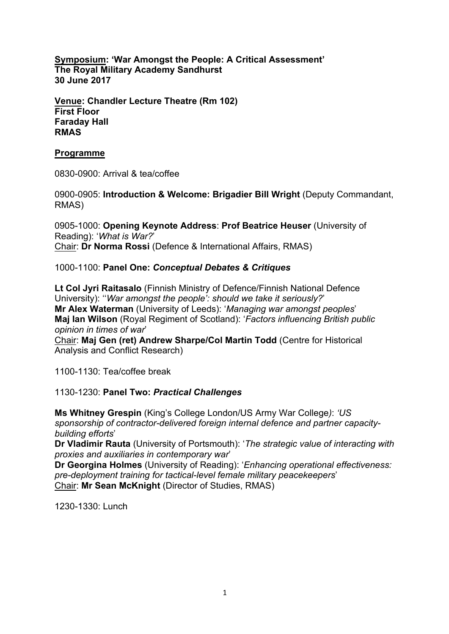**Symposium: 'War Amongst the People: A Critical Assessment' The Royal Military Academy Sandhurst 30 June 2017**

**Venue: Chandler Lecture Theatre (Rm 102) First Floor Faraday Hall RMAS**

## **Programme**

0830-0900: Arrival & tea/coffee

0900-0905: **Introduction & Welcome: Brigadier Bill Wright** (Deputy Commandant, RMAS)

0905-1000: **Opening Keynote Address**: **Prof Beatrice Heuser** (University of Reading): '*What is War?*' Chair: **Dr Norma Rossi** (Defence & International Affairs, RMAS)

1000-1100: **Panel One:** *Conceptual Debates & Critiques*

**Lt Col Jyri Raitasalo** (Finnish Ministry of Defence/Finnish National Defence University): ''*War amongst the people': should we take it seriously?*' **Mr Alex Waterman** (University of Leeds): '*Managing war amongst peoples*' **Maj Ian Wilson** (Royal Regiment of Scotland): '*Factors influencing British public opinion in times of war*'

Chair: **Maj Gen (ret) Andrew Sharpe/Col Martin Todd** (Centre for Historical Analysis and Conflict Research)

1100-1130: Tea/coffee break

1130-1230: **Panel Two:** *Practical Challenges*

**Ms Whitney Grespin** (King's College London/US Army War College*)*: *'US sponsorship of contractor-delivered foreign internal defence and partner capacitybuilding efforts*'

**Dr Vladimir Rauta** (University of Portsmouth): '*The strategic value of interacting with proxies and auxiliaries in contemporary war*'

**Dr Georgina Holmes** (University of Reading): '*Enhancing operational effectiveness: pre-deployment training for tactical-level female military peacekeepers*' Chair: **Mr Sean McKnight** (Director of Studies, RMAS)

1230-1330: Lunch